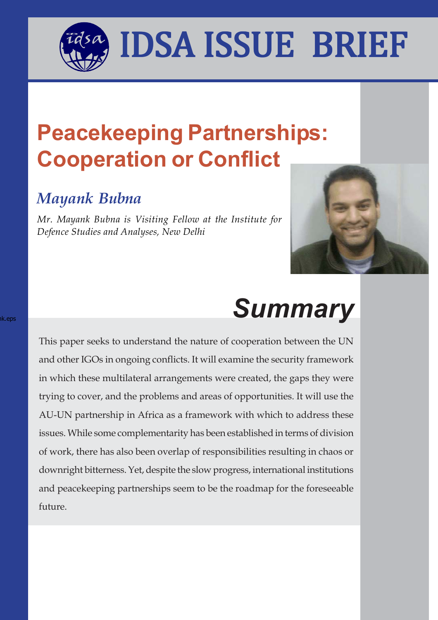**Peacekeeping Partnerships:**

I MASA INSA ISSIIL DDILI

IDSA ISSUE BRIEF

## **Cooperation or Conflict**

### *Mayank Bubna*

nk.eps

*Mr. Mayank Bubna is Visiting Fellow at the Institute for Defence Studies and Analyses, New Delhi*



# *Summary*

This paper seeks to understand the nature of cooperation between the UN and other IGOs in ongoing conflicts. It will examine the security framework in which these multilateral arrangements were created, the gaps they were trying to cover, and the problems and areas of opportunities. It will use the AU-UN partnership in Africa as a framework with which to address these issues. While some complementarity has been established in terms of division of work, there has also been overlap of responsibilities resulting in chaos or downright bitterness. Yet, despite the slow progress, international institutions and peacekeeping partnerships seem to be the roadmap for the foreseeable future.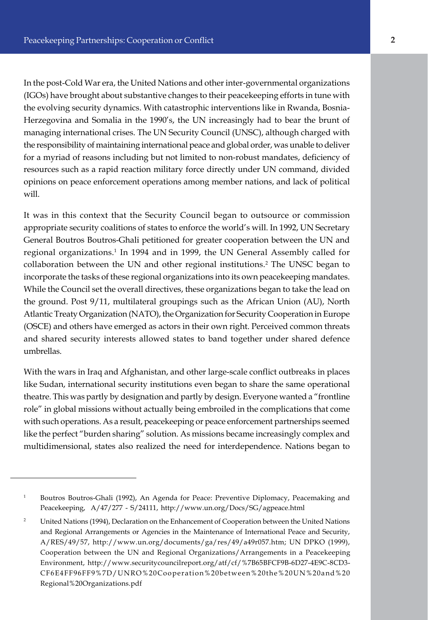In the post-Cold War era, the United Nations and other inter-governmental organizations (IGOs) have brought about substantive changes to their peacekeeping efforts in tune with the evolving security dynamics. With catastrophic interventions like in Rwanda, Bosnia-Herzegovina and Somalia in the 1990's, the UN increasingly had to bear the brunt of managing international crises. The UN Security Council (UNSC), although charged with the responsibility of maintaining international peace and global order, was unable to deliver for a myriad of reasons including but not limited to non-robust mandates, deficiency of resources such as a rapid reaction military force directly under UN command, divided opinions on peace enforcement operations among member nations, and lack of political will.

It was in this context that the Security Council began to outsource or commission appropriate security coalitions of states to enforce the world's will. In 1992, UN Secretary General Boutros Boutros-Ghali petitioned for greater cooperation between the UN and regional organizations.<sup>1</sup> In 1994 and in 1999, the UN General Assembly called for collaboration between the UN and other regional institutions.<sup>2</sup> The UNSC began to incorporate the tasks of these regional organizations into its own peacekeeping mandates. While the Council set the overall directives, these organizations began to take the lead on the ground. Post 9/11, multilateral groupings such as the African Union (AU), North Atlantic Treaty Organization (NATO), the Organization for Security Cooperation in Europe (OSCE) and others have emerged as actors in their own right. Perceived common threats and shared security interests allowed states to band together under shared defence umbrellas.

With the wars in Iraq and Afghanistan, and other large-scale conflict outbreaks in places like Sudan, international security institutions even began to share the same operational theatre. This was partly by designation and partly by design. Everyone wanted a "frontline role" in global missions without actually being embroiled in the complications that come with such operations. As a result, peacekeeping or peace enforcement partnerships seemed like the perfect "burden sharing" solution. As missions became increasingly complex and multidimensional, states also realized the need for interdependence. Nations began to

<sup>&</sup>lt;sup>1</sup> Boutros Boutros-Ghali (1992), An Agenda for Peace: Preventive Diplomacy, Peacemaking and Peacekeeping, A/47/277 - S/24111, http://www.un.org/Docs/SG/agpeace.html

<sup>&</sup>lt;sup>2</sup> United Nations (1994), Declaration on the Enhancement of Cooperation between the United Nations and Regional Arrangements or Agencies in the Maintenance of International Peace and Security, A/RES/49/57, http://www.un.org/documents/ga/res/49/a49r057.htm; UN DPKO (1999), Cooperation between the UN and Regional Organizations/Arrangements in a Peacekeeping Environment, http://www.securitycouncilreport.org/atf/cf/%7B65BFCF9B-6D27-4E9C-8CD3- CF6E4FF96FF9%7D/UNRO%20Cooperation%20between%20the%20UN%20and%20 Regional%20Organizations.pdf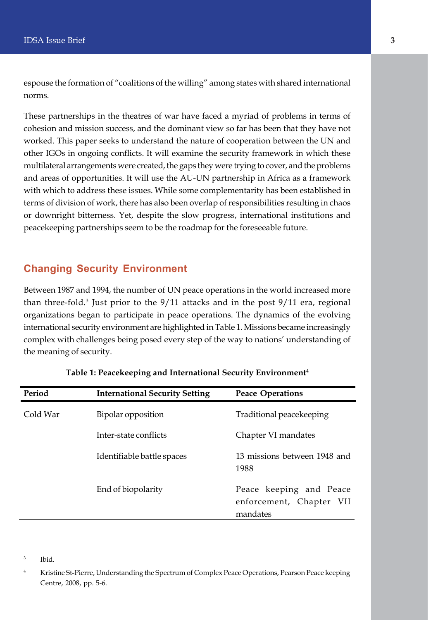espouse the formation of "coalitions of the willing" among states with shared international norms.

These partnerships in the theatres of war have faced a myriad of problems in terms of cohesion and mission success, and the dominant view so far has been that they have not worked. This paper seeks to understand the nature of cooperation between the UN and other IGOs in ongoing conflicts. It will examine the security framework in which these multilateral arrangements were created, the gaps they were trying to cover, and the problems and areas of opportunities. It will use the AU-UN partnership in Africa as a framework with which to address these issues. While some complementarity has been established in terms of division of work, there has also been overlap of responsibilities resulting in chaos or downright bitterness. Yet, despite the slow progress, international institutions and peacekeeping partnerships seem to be the roadmap for the foreseeable future.

#### **Changing Security Environment**

Between 1987 and 1994, the number of UN peace operations in the world increased more than three-fold.<sup>3</sup> Just prior to the 9/11 attacks and in the post 9/11 era, regional organizations began to participate in peace operations. The dynamics of the evolving international security environment are highlighted in Table 1. Missions became increasingly complex with challenges being posed every step of the way to nations' understanding of the meaning of security.

| Period   | <b>International Security Setting</b> | <b>Peace Operations</b>                                         |
|----------|---------------------------------------|-----------------------------------------------------------------|
| Cold War | Bipolar opposition                    | Traditional peacekeeping                                        |
|          | Inter-state conflicts                 | Chapter VI mandates                                             |
|          | Identifiable battle spaces            | 13 missions between 1948 and<br>1988                            |
|          | End of biopolarity                    | Peace keeping and Peace<br>enforcement, Chapter VII<br>mandates |

#### **Table 1: Peacekeeping and International Security Environment**<sup>4</sup>

<sup>3</sup> Ibid.

<sup>&</sup>lt;sup>4</sup> Kristine St-Pierre, Understanding the Spectrum of Complex Peace Operations, Pearson Peace keeping Centre, 2008, pp. 5-6.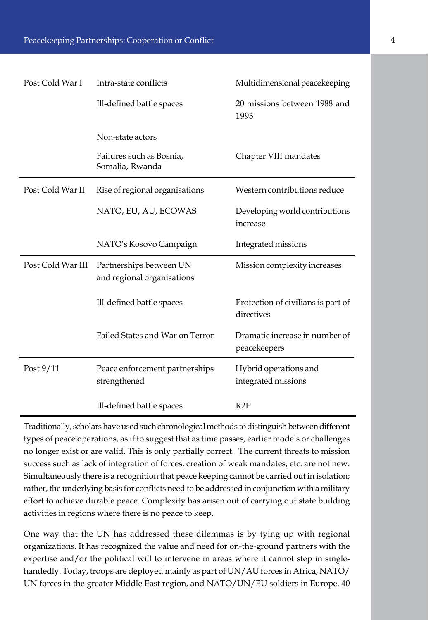| Post Cold War I   | Intra-state conflicts                                 | Multidimensional peacekeeping                    |
|-------------------|-------------------------------------------------------|--------------------------------------------------|
|                   | Ill-defined battle spaces                             | 20 missions between 1988 and<br>1993             |
|                   | Non-state actors                                      |                                                  |
|                   | Failures such as Bosnia,<br>Somalia, Rwanda           | Chapter VIII mandates                            |
| Post Cold War II  | Rise of regional organisations                        | Western contributions reduce                     |
|                   | NATO, EU, AU, ECOWAS                                  | Developing world contributions<br>increase       |
|                   | NATO's Kosovo Campaign                                | Integrated missions                              |
| Post Cold War III | Partnerships between UN<br>and regional organisations | Mission complexity increases                     |
|                   | Ill-defined battle spaces                             | Protection of civilians is part of<br>directives |
|                   | Failed States and War on Terror                       | Dramatic increase in number of<br>peacekeepers   |
| Post $9/11$       | Peace enforcement partnerships<br>strengthened        | Hybrid operations and<br>integrated missions     |
|                   | Ill-defined battle spaces                             | R2P                                              |

Traditionally, scholars have used such chronological methods to distinguish between different types of peace operations, as if to suggest that as time passes, earlier models or challenges no longer exist or are valid. This is only partially correct. The current threats to mission success such as lack of integration of forces, creation of weak mandates, etc. are not new. Simultaneously there is a recognition that peace keeping cannot be carried out in isolation; rather, the underlying basis for conflicts need to be addressed in conjunction with a military effort to achieve durable peace. Complexity has arisen out of carrying out state building activities in regions where there is no peace to keep.

One way that the UN has addressed these dilemmas is by tying up with regional organizations. It has recognized the value and need for on-the-ground partners with the expertise and/or the political will to intervene in areas where it cannot step in singlehandedly. Today, troops are deployed mainly as part of UN/AU forces in Africa, NATO/ UN forces in the greater Middle East region, and NATO/UN/EU soldiers in Europe. 40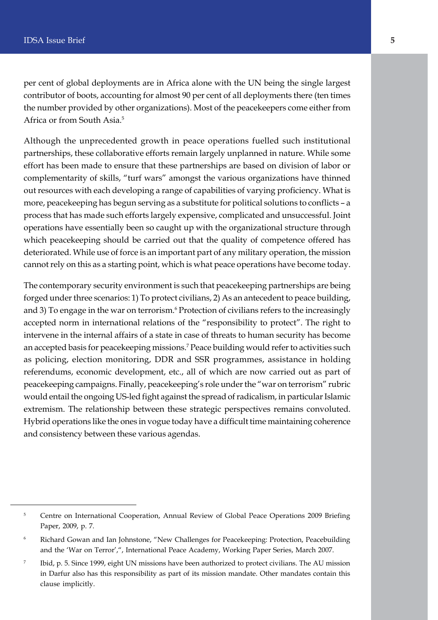per cent of global deployments are in Africa alone with the UN being the single largest contributor of boots, accounting for almost 90 per cent of all deployments there (ten times the number provided by other organizations). Most of the peacekeepers come either from Africa or from South Asia.5

Although the unprecedented growth in peace operations fuelled such institutional partnerships, these collaborative efforts remain largely unplanned in nature. While some effort has been made to ensure that these partnerships are based on division of labor or complementarity of skills, "turf wars" amongst the various organizations have thinned out resources with each developing a range of capabilities of varying proficiency. What is more, peacekeeping has begun serving as a substitute for political solutions to conflicts – a process that has made such efforts largely expensive, complicated and unsuccessful. Joint operations have essentially been so caught up with the organizational structure through which peacekeeping should be carried out that the quality of competence offered has deteriorated. While use of force is an important part of any military operation, the mission cannot rely on this as a starting point, which is what peace operations have become today.

The contemporary security environment is such that peacekeeping partnerships are being forged under three scenarios: 1) To protect civilians, 2) As an antecedent to peace building, and 3) To engage in the war on terrorism.<sup>6</sup> Protection of civilians refers to the increasingly accepted norm in international relations of the "responsibility to protect". The right to intervene in the internal affairs of a state in case of threats to human security has become an accepted basis for peacekeeping missions.7 Peace building would refer to activities such as policing, election monitoring, DDR and SSR programmes, assistance in holding referendums, economic development, etc., all of which are now carried out as part of peacekeeping campaigns. Finally, peacekeeping's role under the "war on terrorism" rubric would entail the ongoing US-led fight against the spread of radicalism, in particular Islamic extremism. The relationship between these strategic perspectives remains convoluted. Hybrid operations like the ones in vogue today have a difficult time maintaining coherence and consistency between these various agendas.

<sup>&</sup>lt;sup>5</sup> Centre on International Cooperation, Annual Review of Global Peace Operations 2009 Briefing Paper, 2009, p. 7.

<sup>6</sup> Richard Gowan and Ian Johnstone, "New Challenges for Peacekeeping: Protection, Peacebuilding and the 'War on Terror',", International Peace Academy, Working Paper Series, March 2007.

<sup>7</sup> Ibid, p. 5. Since 1999, eight UN missions have been authorized to protect civilians. The AU mission in Darfur also has this responsibility as part of its mission mandate. Other mandates contain this clause implicitly.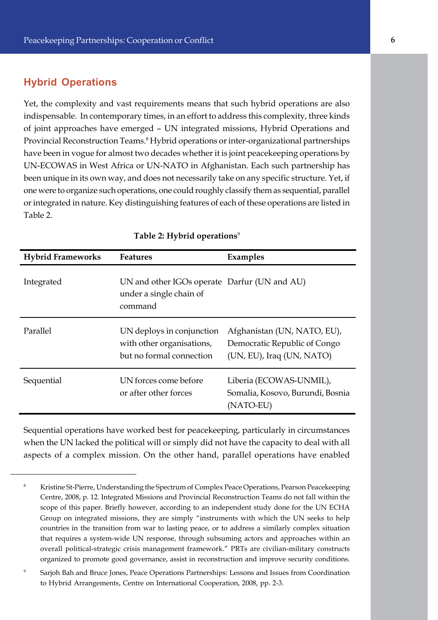#### **Hybrid Operations**

Yet, the complexity and vast requirements means that such hybrid operations are also indispensable. In contemporary times, in an effort to address this complexity, three kinds of joint approaches have emerged – UN integrated missions, Hybrid Operations and Provincial Reconstruction Teams.<sup>8</sup> Hybrid operations or inter-organizational partnerships have been in vogue for almost two decades whether it is joint peacekeeping operations by UN-ECOWAS in West Africa or UN-NATO in Afghanistan. Each such partnership has been unique in its own way, and does not necessarily take on any specific structure. Yet, if one were to organize such operations, one could roughly classify them as sequential, parallel or integrated in nature. Key distinguishing features of each of these operations are listed in Table 2.

| <b>Hybrid Frameworks</b> | <b>Features</b>                                                                    | <b>Examples</b>                                                                          |
|--------------------------|------------------------------------------------------------------------------------|------------------------------------------------------------------------------------------|
| Integrated               | UN and other IGOs operate Darfur (UN and AU)<br>under a single chain of<br>command |                                                                                          |
| Parallel                 | UN deploys in conjunction<br>with other organisations,<br>but no formal connection | Afghanistan (UN, NATO, EU),<br>Democratic Republic of Congo<br>(UN, EU), Iraq (UN, NATO) |
| Sequential               | UN forces come before<br>or after other forces                                     | Liberia (ECOWAS-UNMIL),<br>Somalia, Kosovo, Burundi, Bosnia<br>(NATO-EU)                 |

#### **Table 2: Hybrid operations**<sup>9</sup>

Sequential operations have worked best for peacekeeping, particularly in circumstances when the UN lacked the political will or simply did not have the capacity to deal with all aspects of a complex mission. On the other hand, parallel operations have enabled

<sup>8</sup> Kristine St-Pierre, Understanding the Spectrum of Complex Peace Operations, Pearson Peacekeeping Centre, 2008, p. 12. Integrated Missions and Provincial Reconstruction Teams do not fall within the scope of this paper. Briefly however, according to an independent study done for the UN ECHA Group on integrated missions, they are simply "instruments with which the UN seeks to help countries in the transition from war to lasting peace, or to address a similarly complex situation that requires a system-wide UN response, through subsuming actors and approaches within an overall political-strategic crisis management framework." PRTs are civilian-military constructs organized to promote good governance, assist in reconstruction and improve security conditions.

<sup>9</sup> Sarjoh Bah and Bruce Jones, Peace Operations Partnerships: Lessons and Issues from Coordination to Hybrid Arrangements, Centre on International Cooperation, 2008, pp. 2-3.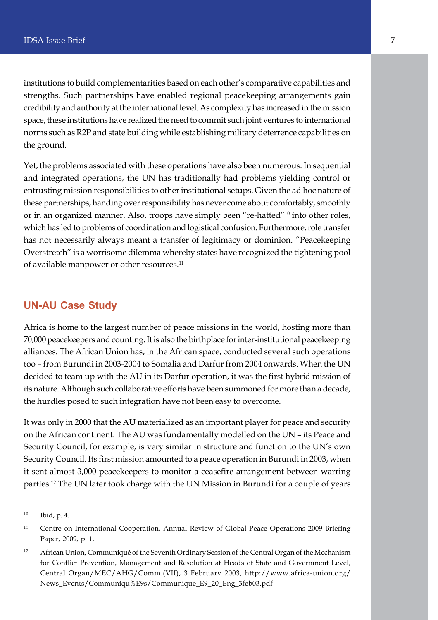institutions to build complementarities based on each other's comparative capabilities and strengths. Such partnerships have enabled regional peacekeeping arrangements gain credibility and authority at the international level. As complexity has increased in the mission space, these institutions have realized the need to commit such joint ventures to international norms such as R2P and state building while establishing military deterrence capabilities on the ground.

Yet, the problems associated with these operations have also been numerous. In sequential and integrated operations, the UN has traditionally had problems yielding control or entrusting mission responsibilities to other institutional setups. Given the ad hoc nature of these partnerships, handing over responsibility has never come about comfortably, smoothly or in an organized manner. Also, troops have simply been "re-hatted"10 into other roles, which has led to problems of coordination and logistical confusion. Furthermore, role transfer has not necessarily always meant a transfer of legitimacy or dominion. "Peacekeeping Overstretch" is a worrisome dilemma whereby states have recognized the tightening pool of available manpower or other resources.<sup>11</sup>

#### **UN-AU Case Study**

Africa is home to the largest number of peace missions in the world, hosting more than 70,000 peacekeepers and counting. It is also the birthplace for inter-institutional peacekeeping alliances. The African Union has, in the African space, conducted several such operations too – from Burundi in 2003-2004 to Somalia and Darfur from 2004 onwards. When the UN decided to team up with the AU in its Darfur operation, it was the first hybrid mission of its nature. Although such collaborative efforts have been summoned for more than a decade, the hurdles posed to such integration have not been easy to overcome.

It was only in 2000 that the AU materialized as an important player for peace and security on the African continent. The AU was fundamentally modelled on the UN – its Peace and Security Council, for example, is very similar in structure and function to the UN's own Security Council. Its first mission amounted to a peace operation in Burundi in 2003, when it sent almost 3,000 peacekeepers to monitor a ceasefire arrangement between warring parties.12 The UN later took charge with the UN Mission in Burundi for a couple of years

<sup>10</sup> Ibid, p. 4.

<sup>&</sup>lt;sup>11</sup> Centre on International Cooperation, Annual Review of Global Peace Operations 2009 Briefing Paper, 2009, p. 1.

<sup>&</sup>lt;sup>12</sup> African Union, Communiqué of the Seventh Ordinary Session of the Central Organ of the Mechanism for Conflict Prevention, Management and Resolution at Heads of State and Government Level, Central Organ/MEC/AHG/Comm.(VII), 3 February 2003, http://www.africa-union.org/ News\_Events/Communiqu%E9s/Communique\_E9\_20\_Eng\_3feb03.pdf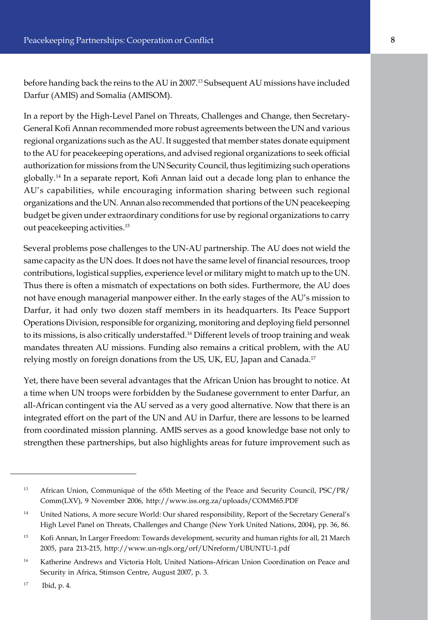before handing back the reins to the AU in 2007.13 Subsequent AU missions have included Darfur (AMIS) and Somalia (AMISOM).

In a report by the High-Level Panel on Threats, Challenges and Change, then Secretary-General Kofi Annan recommended more robust agreements between the UN and various regional organizations such as the AU. It suggested that member states donate equipment to the AU for peacekeeping operations, and advised regional organizations to seek official authorization for missions from the UN Security Council, thus legitimizing such operations globally.14 In a separate report, Kofi Annan laid out a decade long plan to enhance the AU's capabilities, while encouraging information sharing between such regional organizations and the UN. Annan also recommended that portions of the UN peacekeeping budget be given under extraordinary conditions for use by regional organizations to carry out peacekeeping activities.15

Several problems pose challenges to the UN-AU partnership. The AU does not wield the same capacity as the UN does. It does not have the same level of financial resources, troop contributions, logistical supplies, experience level or military might to match up to the UN. Thus there is often a mismatch of expectations on both sides. Furthermore, the AU does not have enough managerial manpower either. In the early stages of the AU's mission to Darfur, it had only two dozen staff members in its headquarters. Its Peace Support Operations Division, responsible for organizing, monitoring and deploying field personnel to its missions, is also critically understaffed.16 Different levels of troop training and weak mandates threaten AU missions. Funding also remains a critical problem, with the AU relying mostly on foreign donations from the US, UK, EU, Japan and Canada.<sup>17</sup>

Yet, there have been several advantages that the African Union has brought to notice. At a time when UN troops were forbidden by the Sudanese government to enter Darfur, an all-African contingent via the AU served as a very good alternative. Now that there is an integrated effort on the part of the UN and AU in Darfur, there are lessons to be learned from coordinated mission planning. AMIS serves as a good knowledge base not only to strengthen these partnerships, but also highlights areas for future improvement such as

<sup>13</sup> African Union, Communiqué of the 65th Meeting of the Peace and Security Council, PSC/PR/ Comm(LXV), 9 November 2006, http://www.iss.org.za/uploads/COMM65.PDF

<sup>14</sup> United Nations, A more secure World: Our shared responsibility, Report of the Secretary General's High Level Panel on Threats, Challenges and Change (New York United Nations, 2004), pp. 36, 86.

<sup>&</sup>lt;sup>15</sup> Kofi Annan, In Larger Freedom: Towards development, security and human rights for all, 21 March 2005, para 213-215, http://www.un-ngls.org/orf/UNreform/UBUNTU-1.pdf

<sup>&</sup>lt;sup>16</sup> Katherine Andrews and Victoria Holt, United Nations-African Union Coordination on Peace and Security in Africa, Stimson Centre, August 2007, p. 3.

<sup>17</sup> Ibid, p. 4.